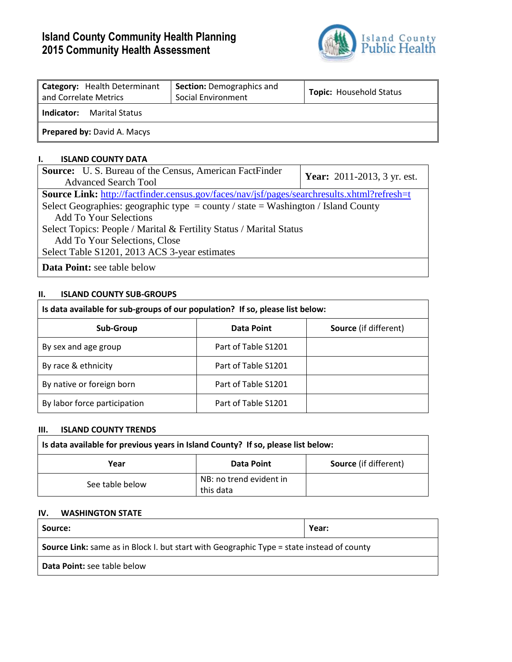# **Island County Community Health Planning 2015 Community Health Assessment**



| <b>Category:</b> Health Determinant<br>and Correlate Metrics | <b>Section: Demographics and</b><br>Social Environment | <b>Topic: Household Status</b> |
|--------------------------------------------------------------|--------------------------------------------------------|--------------------------------|
| l Indicator:<br>Marital Status                               |                                                        |                                |
| <b>Prepared by: David A. Macys</b>                           |                                                        |                                |

## **I. ISLAND COUNTY DATA**

| <b>Source:</b> U.S. Bureau of the Census, American FactFinder                               | <b>Year:</b> 2011-2013, 3 yr. est. |
|---------------------------------------------------------------------------------------------|------------------------------------|
| <b>Advanced Search Tool</b>                                                                 |                                    |
| Source Link: http://factfinder.census.gov/faces/nav/jsf/pages/searchresults.xhtml?refresh=t |                                    |
| Select Geographies: geographic type = county / state = Washington / Island County           |                                    |
| <b>Add To Your Selections</b>                                                               |                                    |
| Select Topics: People / Marital & Fertility Status / Marital Status                         |                                    |
| Add To Your Selections, Close                                                               |                                    |
| Select Table S1201, 2013 ACS 3-year estimates                                               |                                    |
| <b>Data Point:</b> see table below                                                          |                                    |

## **II. ISLAND COUNTY SUB-GROUPS**

| Is data available for sub-groups of our population? If so, please list below: |                     |                              |  |  |  |  |  |  |  |
|-------------------------------------------------------------------------------|---------------------|------------------------------|--|--|--|--|--|--|--|
| <b>Sub-Group</b>                                                              | Data Point          | <b>Source</b> (if different) |  |  |  |  |  |  |  |
| By sex and age group                                                          | Part of Table S1201 |                              |  |  |  |  |  |  |  |
| By race & ethnicity                                                           | Part of Table S1201 |                              |  |  |  |  |  |  |  |
| By native or foreign born                                                     | Part of Table S1201 |                              |  |  |  |  |  |  |  |
| By labor force participation                                                  | Part of Table S1201 |                              |  |  |  |  |  |  |  |

#### **III. ISLAND COUNTY TRENDS**

| Is data available for previous years in Island County? If so, please list below: |                         |  |  |  |  |  |  |  |
|----------------------------------------------------------------------------------|-------------------------|--|--|--|--|--|--|--|
| <b>Source</b> (if different)<br>Data Point<br>Year                               |                         |  |  |  |  |  |  |  |
| See table below                                                                  | NB: no trend evident in |  |  |  |  |  |  |  |
|                                                                                  | this data               |  |  |  |  |  |  |  |

#### **IV. WASHINGTON STATE**

| Source:                                                                                          | Year: |  |  |  |  |  |
|--------------------------------------------------------------------------------------------------|-------|--|--|--|--|--|
| <b>Source Link:</b> same as in Block I. but start with Geographic Type = state instead of county |       |  |  |  |  |  |
| <b>Data Point:</b> see table below                                                               |       |  |  |  |  |  |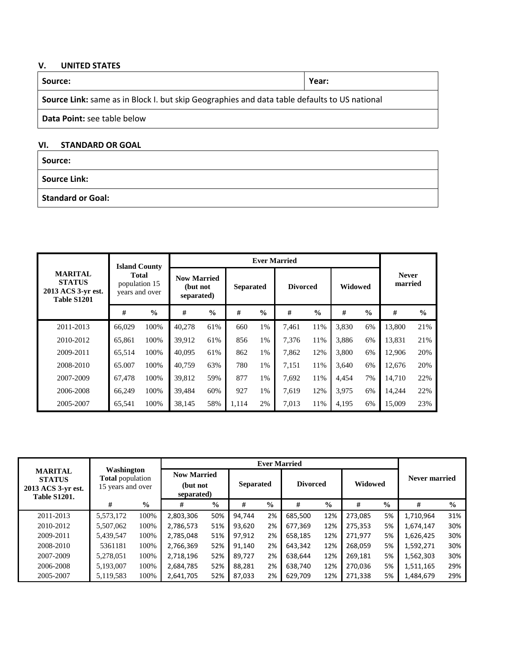# **V. UNITED STATES**

| Source:                                                                                      | Year: |  |  |  |  |  |  |  |  |
|----------------------------------------------------------------------------------------------|-------|--|--|--|--|--|--|--|--|
| Source Link: same as in Block I. but skip Geographies and data table defaults to US national |       |  |  |  |  |  |  |  |  |
| <b>Data Point:</b> see table below                                                           |       |  |  |  |  |  |  |  |  |
| VI.<br><b>STANDARD OR GOAL</b>                                                               |       |  |  |  |  |  |  |  |  |
| Source:                                                                                      |       |  |  |  |  |  |  |  |  |

**Source Link:** 

**Standard or Goal:** 

|                                                                      | <b>Island County</b>                     |               |                                              | <b>Ever Married</b> |                  |               |                 |               |         |               |                         |               |
|----------------------------------------------------------------------|------------------------------------------|---------------|----------------------------------------------|---------------------|------------------|---------------|-----------------|---------------|---------|---------------|-------------------------|---------------|
| <b>MARITAL</b><br><b>STATUS</b><br>2013 ACS 3-yr est.<br>Table S1201 | Total<br>population 15<br>years and over |               | <b>Now Married</b><br>(but not<br>separated) |                     | <b>Separated</b> |               | <b>Divorced</b> |               | Widowed |               | <b>Never</b><br>married |               |
|                                                                      | #                                        | $\frac{0}{0}$ | #                                            | $\frac{0}{0}$       | #                | $\frac{0}{0}$ | #               | $\frac{0}{0}$ | #       | $\frac{0}{0}$ | #                       | $\frac{0}{0}$ |
| 2011-2013                                                            | 66,029                                   | 100%          | 40,278                                       | 61%                 | 660              | 1%            | 7,461           | 11%           | 3,830   | 6%            | 13,800                  | 21%           |
| 2010-2012                                                            | 65,861                                   | 100%          | 39,912                                       | 61%                 | 856              | 1%            | 7,376           | 11%           | 3,886   | 6%            | 13,831                  | 21%           |
| 2009-2011                                                            | 65.514                                   | 100%          | 40.095                                       | 61%                 | 862              | 1%            | 7,862           | 12%           | 3.800   | 6%            | 12.906                  | 20%           |
| 2008-2010                                                            | 65.007                                   | 100%          | 40,759                                       | 63%                 | 780              | 1%            | 7,151           | 11%           | 3,640   | 6%            | 12,676                  | 20%           |
| 2007-2009                                                            | 67.478                                   | 100%          | 39,812                                       | 59%                 | 877              | 1%            | 7,692           | 11%           | 4.454   | 7%            | 14.710                  | 22%           |
| 2006-2008                                                            | 66,249                                   | 100%          | 39,484                                       | 60%                 | 927              | 1%            | 7,619           | 12%           | 3,975   | 6%            | 14,244                  | 22%           |
| 2005-2007                                                            | 65,541                                   | 100%          | 38.145                                       | 58%                 | 1,114            | 2%            | 7,013           | 11%           | 4,195   | 6%            | 15,009                  | 23%           |

| Washington<br><b>MARITAL</b><br><b>Total</b> population<br><b>STATUS</b><br>15 years and over<br>2013 ACS 3-yr est.<br><b>Table S1201.</b> |           |               | <b>Now Married</b><br>(but not<br>separated) |               | <b>Separated</b> |               | <b>Divorced</b> |               | Widowed |               | Never married |               |
|--------------------------------------------------------------------------------------------------------------------------------------------|-----------|---------------|----------------------------------------------|---------------|------------------|---------------|-----------------|---------------|---------|---------------|---------------|---------------|
|                                                                                                                                            | #         | $\frac{0}{0}$ | #                                            | $\frac{0}{0}$ | #                | $\frac{6}{9}$ | #               | $\frac{6}{9}$ | #       | $\frac{0}{0}$ | #             | $\frac{0}{0}$ |
| 2011-2013                                                                                                                                  | 5,573,172 | 100%          | 2,803,306                                    | 50%           | 94.744           | 2%            | 685,500         | 12%           | 273,085 | 5%            | 1,710,964     | 31%           |
| 2010-2012                                                                                                                                  | 5,507,062 | 100%          | 2,786,573                                    | 51%           | 93.620           | 2%            | 677.369         | 12%           | 275.353 | 5%            | 1,674,147     | 30%           |
| 2009-2011                                                                                                                                  | 5,439,547 | 100%          | 2,785,048                                    | 51%           | 97.912           | 2%            | 658.185         | 12%           | 271,977 | 5%            | 1,626,425     | 30%           |
| 2008-2010                                                                                                                                  | 5361181   | 100%          | 2,766,369                                    | 52%           | 91.140           | 2%            | 643,342         | 12%           | 268,059 | 5%            | 1,592,271     | 30%           |
| 2007-2009                                                                                                                                  | 5,278,051 | 100%          | 2,718,196                                    | 52%           | 89.727           | 2%            | 638.644         | 12%           | 269,181 | 5%            | 1,562,303     | 30%           |
| 2006-2008                                                                                                                                  | 5,193,007 | 100%          | 2,684,785                                    | 52%           | 88.281           | 2%            | 638.740         | 12%           | 270.036 | 5%            | 1,511,165     | 29%           |
| 2005-2007                                                                                                                                  | 5,119,583 | 100%          | 2,641,705                                    | 52%           | 87.033           | 2%            | 629,709         | 12%           | 271,338 | 5%            | 1,484,679     | 29%           |